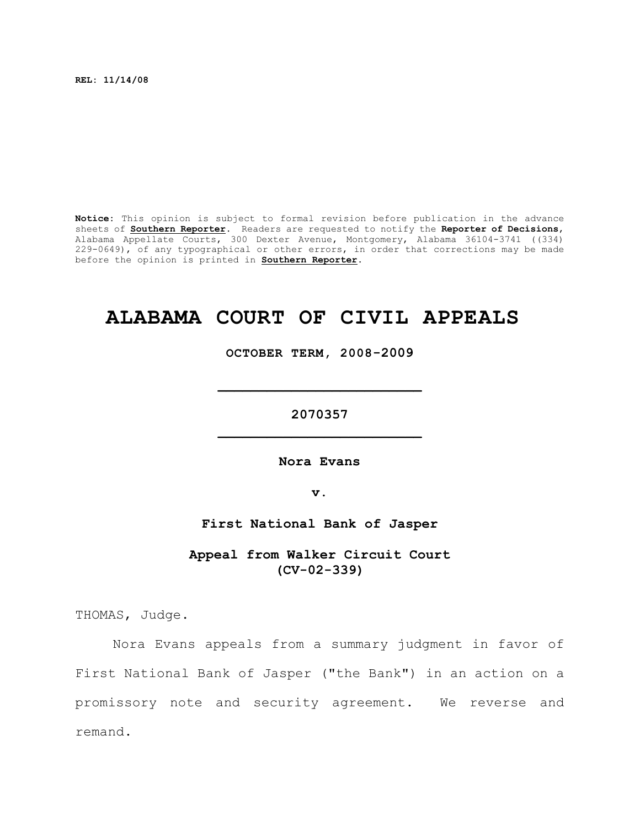**REL: 11/14/08**

**Notice:** This opinion is subject to formal revision before publication in the advance sheets of **Southern Reporter**. Readers are requested to notify the **Reporter of Decisions**, Alabama Appellate Courts, 300 Dexter Avenue, Montgomery, Alabama 36104-3741 ((334) 229-0649), of any typographical or other errors, in order that corrections may be made before the opinion is printed in **Southern Reporter**.

# **ALABAMA COURT OF CIVIL APPEALS**

**OCTOBER TERM, 2008-2009**

**\_\_\_\_\_\_\_\_\_\_\_\_\_\_\_\_\_\_\_\_\_\_\_\_\_**

**2070357 \_\_\_\_\_\_\_\_\_\_\_\_\_\_\_\_\_\_\_\_\_\_\_\_\_**

**Nora Evans**

**v.**

**First National Bank of Jasper**

**Appeal from Walker Circuit Court (CV-02-339)**

THOMAS, Judge.

Nora Evans appeals from a summary judgment in favor of First National Bank of Jasper ("the Bank") in an action on a promissory note and security agreement. We reverse and remand.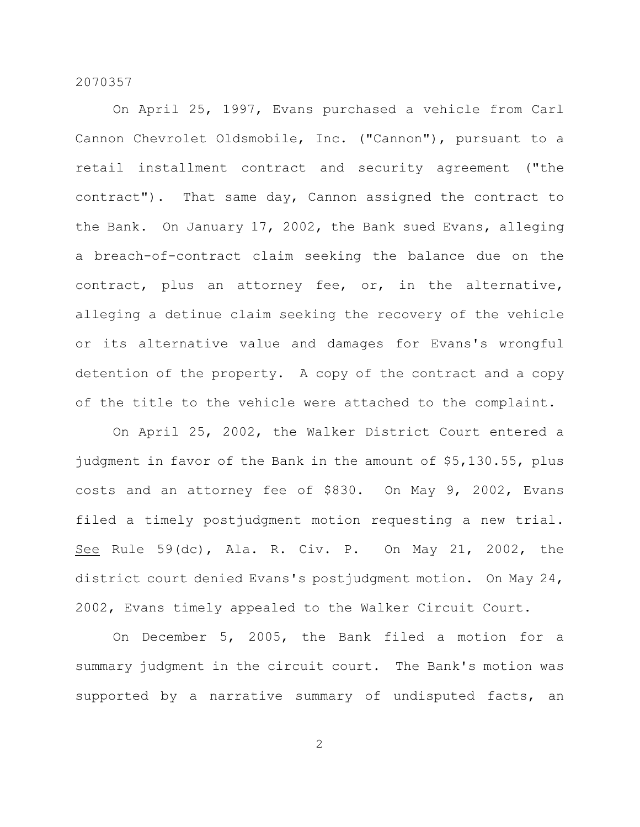On April 25, 1997, Evans purchased a vehicle from Carl Cannon Chevrolet Oldsmobile, Inc. ("Cannon"), pursuant to a retail installment contract and security agreement ("the contract"). That same day, Cannon assigned the contract to the Bank. On January 17, 2002, the Bank sued Evans, alleging a breach-of-contract claim seeking the balance due on the contract, plus an attorney fee, or, in the alternative, alleging a detinue claim seeking the recovery of the vehicle or its alternative value and damages for Evans's wrongful detention of the property. A copy of the contract and a copy of the title to the vehicle were attached to the complaint.

On April 25, 2002, the Walker District Court entered a judgment in favor of the Bank in the amount of \$5,130.55, plus costs and an attorney fee of \$830. On May 9, 2002, Evans filed a timely postjudgment motion requesting a new trial. See Rule 59(dc), Ala. R. Civ. P. On May 21, 2002, the district court denied Evans's postjudgment motion. On May 24, 2002, Evans timely appealed to the Walker Circuit Court.

On December 5, 2005, the Bank filed a motion for a summary judgment in the circuit court. The Bank's motion was supported by a narrative summary of undisputed facts, an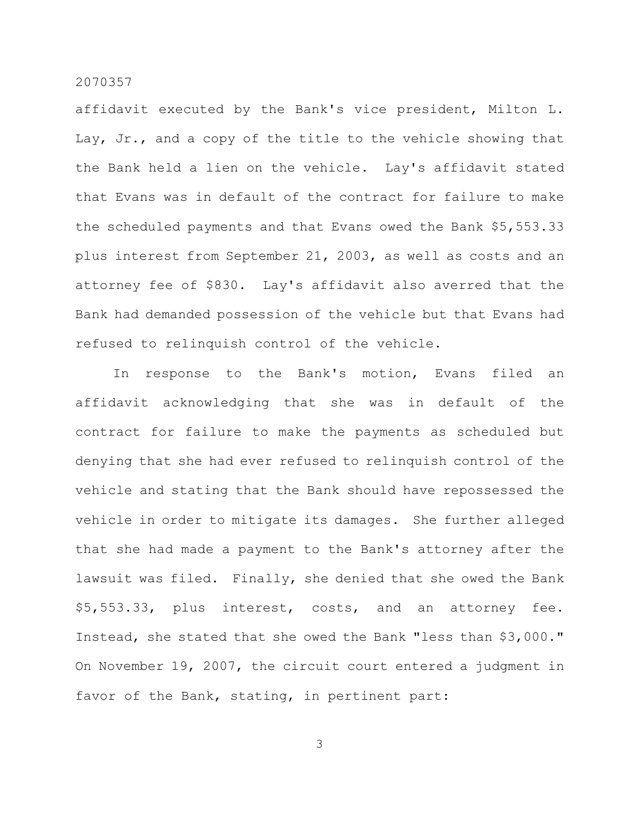affidavit executed by the Bank's vice president, Milton L. Lay, Jr., and a copy of the title to the vehicle showing that the Bank held a lien on the vehicle. Lay's affidavit stated that Evans was in default of the contract for failure to make the scheduled payments and that Evans owed the Bank \$5,553.33 plus interest from September 21, 2003, as well as costs and an attorney fee of \$830. Lay's affidavit also averred that the Bank had demanded possession of the vehicle but that Evans had refused to relinquish control of the vehicle.

In response to the Bank's motion, Evans filed an affidavit acknowledging that she was in default of the contract for failure to make the payments as scheduled but denying that she had ever refused to relinquish control of the vehicle and stating that the Bank should have repossessed the vehicle in order to mitigate its damages. She further alleged that she had made a payment to the Bank's attorney after the lawsuit was filed. Finally, she denied that she owed the Bank \$5,553.33, plus interest, costs, and an attorney fee. Instead, she stated that she owed the Bank "less than \$3,000." On November 19, 2007, the circuit court entered a judgment in favor of the Bank, stating, in pertinent part: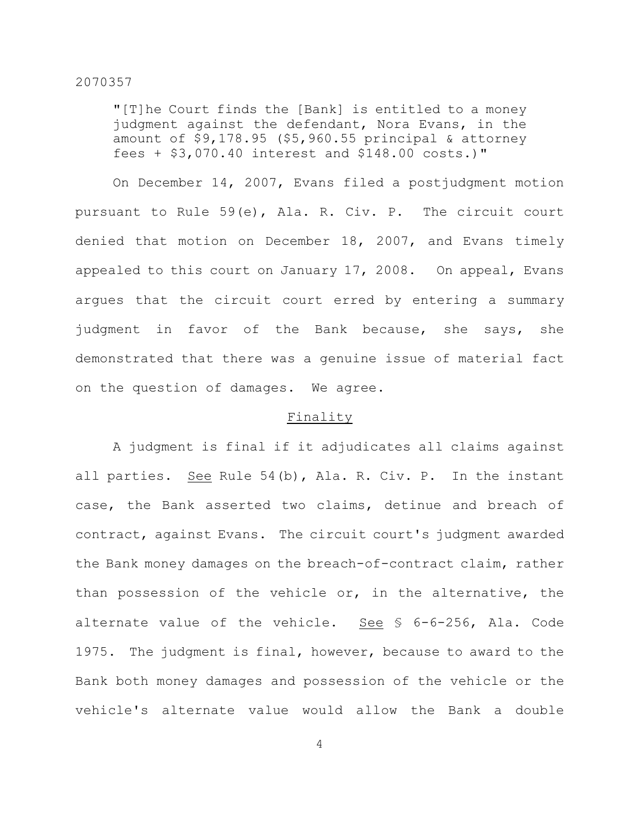"[T]he Court finds the [Bank] is entitled to a money judgment against the defendant, Nora Evans, in the amount of \$9,178.95 (\$5,960.55 principal & attorney fees + \$3,070.40 interest and \$148.00 costs.)"

On December 14, 2007, Evans filed a postjudgment motion pursuant to Rule 59(e), Ala. R. Civ. P. The circuit court denied that motion on December 18, 2007, and Evans timely appealed to this court on January 17, 2008. On appeal, Evans argues that the circuit court erred by entering a summary judgment in favor of the Bank because, she says, she demonstrated that there was a genuine issue of material fact on the question of damages. We agree.

## Finality

A judgment is final if it adjudicates all claims against all parties. See Rule 54(b), Ala. R. Civ. P. In the instant case, the Bank asserted two claims, detinue and breach of contract, against Evans. The circuit court's judgment awarded the Bank money damages on the breach-of-contract claim, rather than possession of the vehicle or, in the alternative, the alternate value of the vehicle. See § 6-6-256, Ala. Code 1975. The judgment is final, however, because to award to the Bank both money damages and possession of the vehicle or the vehicle's alternate value would allow the Bank a double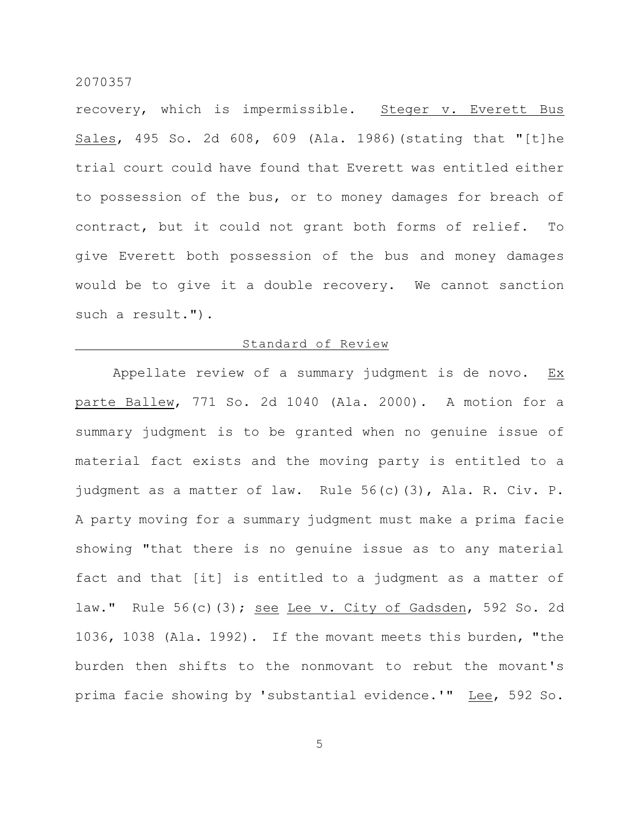recovery, which is impermissible. Steger v. Everett Bus Sales, 495 So. 2d 608, 609 (Ala. 1986)(stating that "[t]he trial court could have found that Everett was entitled either to possession of the bus, or to money damages for breach of contract, but it could not grant both forms of relief. To give Everett both possession of the bus and money damages would be to give it a double recovery. We cannot sanction such a result.").

# Standard of Review

Appellate review of a summary judgment is de novo.  $Ex$ parte Ballew, 771 So. 2d 1040 (Ala. 2000). A motion for a summary judgment is to be granted when no genuine issue of material fact exists and the moving party is entitled to a judgment as a matter of law. Rule 56(c)(3), Ala. R. Civ. P. A party moving for a summary judgment must make a prima facie showing "that there is no genuine issue as to any material fact and that [it] is entitled to a judgment as a matter of law." Rule 56(c)(3); see Lee v. City of Gadsden, 592 So. 2d 1036, 1038 (Ala. 1992). If the movant meets this burden, "the burden then shifts to the nonmovant to rebut the movant's prima facie showing by 'substantial evidence.'" Lee, 592 So.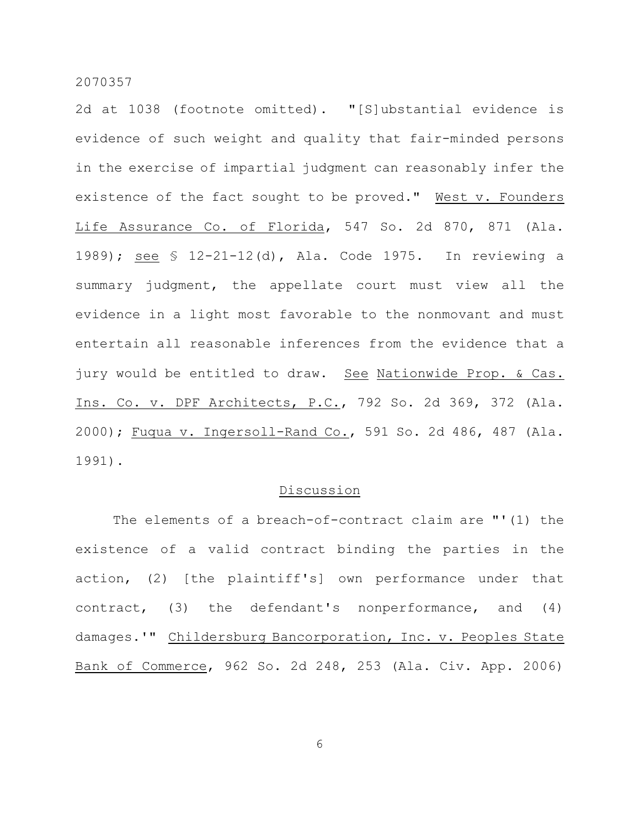2d at 1038 (footnote omitted). "[S]ubstantial evidence is evidence of such weight and quality that fair-minded persons in the exercise of impartial judgment can reasonably infer the existence of the fact sought to be proved." West v. Founders Life Assurance Co. of Florida, 547 So. 2d 870, 871 (Ala. 1989); see § 12-21-12(d), Ala. Code 1975. In reviewing a summary judgment, the appellate court must view all the evidence in a light most favorable to the nonmovant and must entertain all reasonable inferences from the evidence that a jury would be entitled to draw. See Nationwide Prop. & Cas. Ins. Co. v. DPF Architects, P.C., 792 So. 2d 369, 372 (Ala. 2000); Fuqua v. Ingersoll-Rand Co., 591 So. 2d 486, 487 (Ala. 1991).

## Discussion

The elements of a breach-of-contract claim are "'(1) the existence of a valid contract binding the parties in the action, (2) [the plaintiff's] own performance under that contract, (3) the defendant's nonperformance, and (4) damages.'" Childersburg Bancorporation, Inc. v. Peoples State Bank of Commerce, 962 So. 2d 248, 253 (Ala. Civ. App. 2006)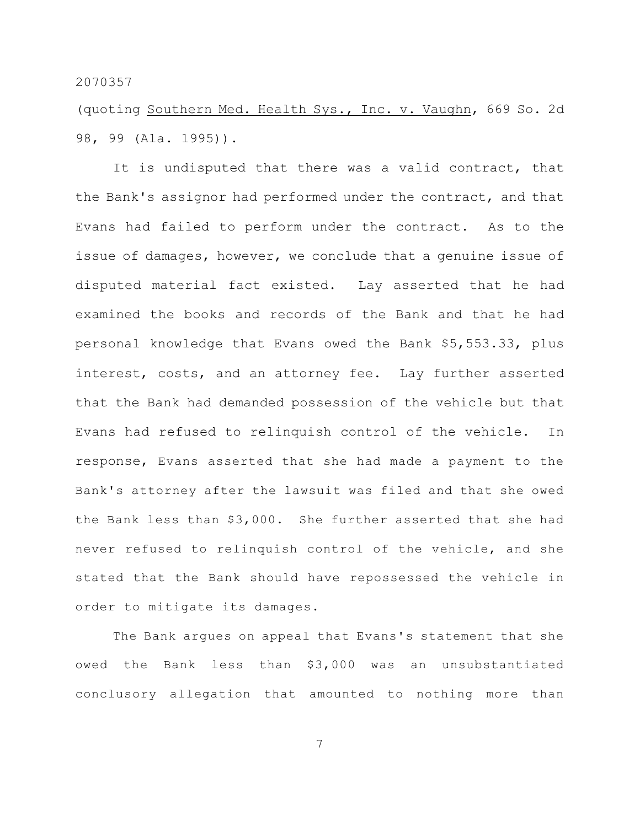(quoting Southern Med. Health Sys., Inc. v. Vaughn, 669 So. 2d 98, 99 (Ala. 1995)).

It is undisputed that there was a valid contract, that the Bank's assignor had performed under the contract, and that Evans had failed to perform under the contract. As to the issue of damages, however, we conclude that a genuine issue of disputed material fact existed. Lay asserted that he had examined the books and records of the Bank and that he had personal knowledge that Evans owed the Bank \$5,553.33, plus interest, costs, and an attorney fee. Lay further asserted that the Bank had demanded possession of the vehicle but that Evans had refused to relinquish control of the vehicle. In response, Evans asserted that she had made a payment to the Bank's attorney after the lawsuit was filed and that she owed the Bank less than \$3,000. She further asserted that she had never refused to relinquish control of the vehicle, and she stated that the Bank should have repossessed the vehicle in order to mitigate its damages.

The Bank argues on appeal that Evans's statement that she owed the Bank less than \$3,000 was an unsubstantiated conclusory allegation that amounted to nothing more than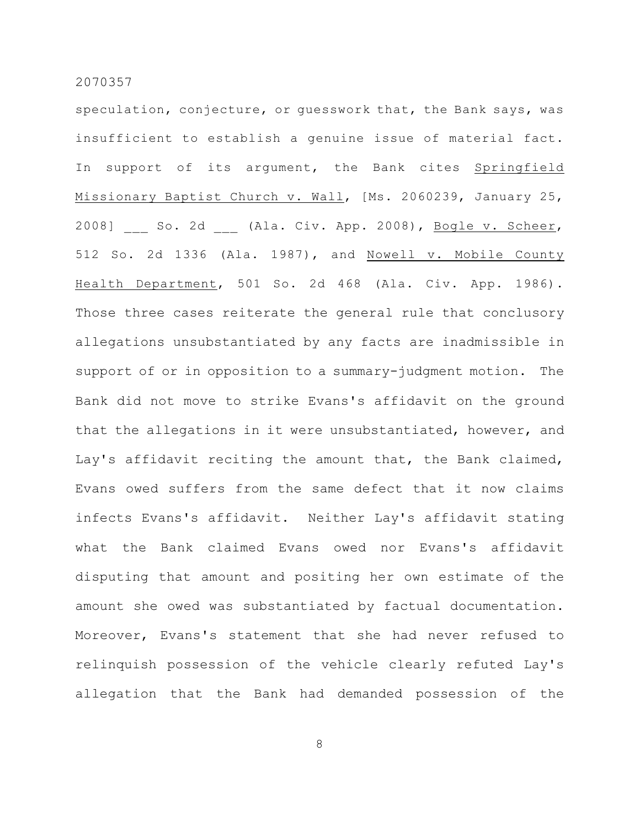speculation, conjecture, or guesswork that, the Bank says, was insufficient to establish a genuine issue of material fact. In support of its argument, the Bank cites Springfield Missionary Baptist Church v. Wall, [Ms. 2060239, January 25, 2008] So. 2d (Ala. Civ. App. 2008), Bogle v. Scheer, 512 So. 2d 1336 (Ala. 1987), and Nowell v. Mobile County Health Department, 501 So. 2d 468 (Ala. Civ. App. 1986). Those three cases reiterate the general rule that conclusory allegations unsubstantiated by any facts are inadmissible in support of or in opposition to a summary-judgment motion. The Bank did not move to strike Evans's affidavit on the ground that the allegations in it were unsubstantiated, however, and Lay's affidavit reciting the amount that, the Bank claimed, Evans owed suffers from the same defect that it now claims infects Evans's affidavit. Neither Lay's affidavit stating what the Bank claimed Evans owed nor Evans's affidavit disputing that amount and positing her own estimate of the amount she owed was substantiated by factual documentation. Moreover, Evans's statement that she had never refused to relinquish possession of the vehicle clearly refuted Lay's allegation that the Bank had demanded possession of the